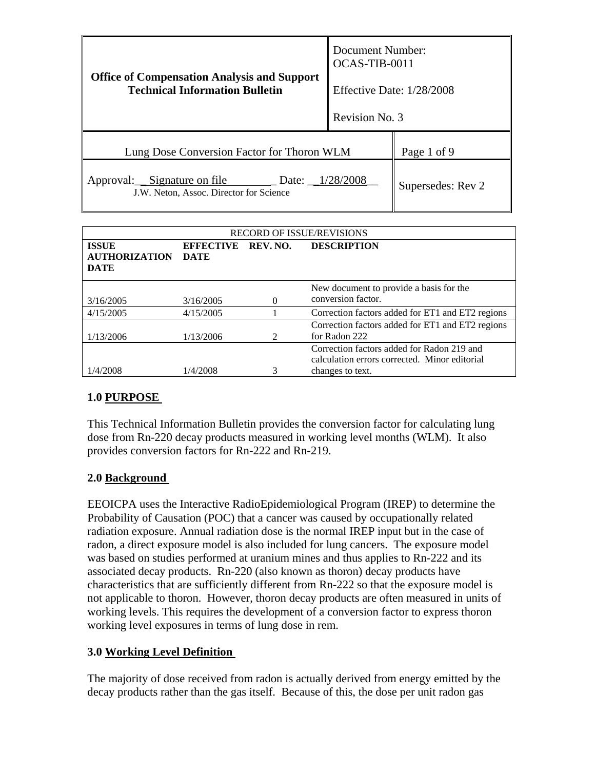| <b>Office of Compensation Analysis and Support</b><br><b>Technical Information Bulletin</b> | Document Number:<br>OCAS-TIB-0011 |                   |
|---------------------------------------------------------------------------------------------|-----------------------------------|-------------------|
|                                                                                             | Effective Date: 1/28/2008         |                   |
|                                                                                             | Revision No. 3                    |                   |
| Lung Dose Conversion Factor for Thoron WLM                                                  |                                   | Page 1 of 9       |
| Approval: Signature on file<br>Date: 1/28/2008<br>J.W. Neton, Assoc. Director for Science   |                                   | Supersedes: Rev 2 |

| <b>RECORD OF ISSUE/REVISIONS</b>                    |                                 |                             |                                                                                                                 |  |
|-----------------------------------------------------|---------------------------------|-----------------------------|-----------------------------------------------------------------------------------------------------------------|--|
| <b>ISSUE</b><br><b>AUTHORIZATION</b><br><b>DATE</b> | <b>EFFECTIVE</b><br><b>DATE</b> | REV. NO.                    | <b>DESCRIPTION</b>                                                                                              |  |
| 3/16/2005                                           | 3/16/2005                       |                             | New document to provide a basis for the<br>conversion factor.                                                   |  |
| 4/15/2005                                           | 4/15/2005                       |                             | Correction factors added for ET1 and ET2 regions                                                                |  |
| 1/13/2006                                           | 1/13/2006                       | $\mathcal{D}_{\mathcal{L}}$ | Correction factors added for ET1 and ET2 regions<br>for Radon 222                                               |  |
| 1/4/2008                                            | 1/4/2008                        |                             | Correction factors added for Radon 219 and<br>calculation errors corrected. Minor editorial<br>changes to text. |  |

## **1.0 PURPOSE**

This Technical Information Bulletin provides the conversion factor for calculating lung dose from Rn-220 decay products measured in working level months (WLM). It also provides conversion factors for Rn-222 and Rn-219.

## **2.0 Background**

EEOICPA uses the Interactive RadioEpidemiological Program (IREP) to determine the Probability of Causation (POC) that a cancer was caused by occupationally related radiation exposure. Annual radiation dose is the normal IREP input but in the case of radon, a direct exposure model is also included for lung cancers. The exposure model was based on studies performed at uranium mines and thus applies to Rn-222 and its associated decay products. Rn-220 (also known as thoron) decay products have characteristics that are sufficiently different from Rn-222 so that the exposure model is not applicable to thoron. However, thoron decay products are often measured in units of working levels. This requires the development of a conversion factor to express thoron working level exposures in terms of lung dose in rem.

## **3.0 Working Level Definition**

The majority of dose received from radon is actually derived from energy emitted by the decay products rather than the gas itself. Because of this, the dose per unit radon gas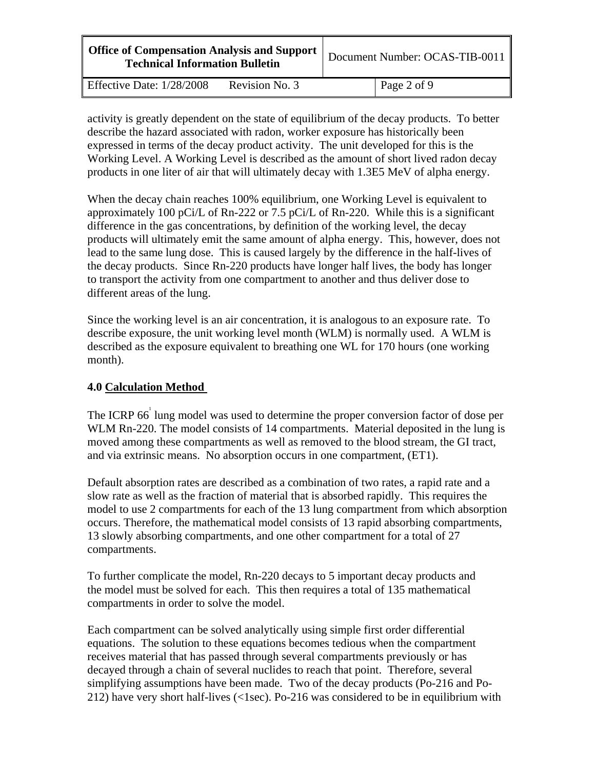| <b>Office of Compensation Analysis and Support</b><br><b>Technical Information Bulletin</b> |                | Document Number: OCAS-TIB-0011 |
|---------------------------------------------------------------------------------------------|----------------|--------------------------------|
| Effective Date: $1/28/2008$                                                                 | Revision No. 3 | Page 2 of 9                    |

activity is greatly dependent on the state of equilibrium of the decay products. To better describe the hazard associated with radon, worker exposure has historically been expressed in terms of the decay product activity. The unit developed for this is the Working Level. A Working Level is described as the amount of short lived radon decay products in one liter of air that will ultimately decay with 1.3E5 MeV of alpha energy.

When the decay chain reaches 100% equilibrium, one Working Level is equivalent to approximately 100 pCi/L of Rn-222 or 7.5 pCi/L of Rn-220. While this is a significant difference in the gas concentrations, by definition of the working level, the decay products will ultimately emit the same amount of alpha energy. This, however, does not lead to the same lung dose. This is caused largely by the difference in the half-lives of the decay products. Since Rn-220 products have longer half lives, the body has longer to transport the activity from one compartment to another and thus deliver dose to different areas of the lung.

Since the working level is an air concentration, it is analogous to an exposure rate. To describe exposure, the unit working level month (WLM) is normally used. A WLM is described as the exposure equivalent to breathing one WL for 170 hours (one working month).

### **4.0 Calculation Method**

The ICRP 66<sup>1</sup> lung model was used to determine the proper conversion factor of dose per WLM Rn-220. The model consists of 14 compartments. Material deposited in the lung is moved among these compartments as well as removed to the blood stream, the GI tract, and via extrinsic means. No absorption occurs in one compartment, (ET1).

Default absorption rates are described as a combination of two rates, a rapid rate and a slow rate as well as the fraction of material that is absorbed rapidly. This requires the model to use 2 compartments for each of the 13 lung compartment from which absorption occurs. Therefore, the mathematical model consists of 13 rapid absorbing compartments, 13 slowly absorbing compartments, and one other compartment for a total of 27 compartments.

To further complicate the model, Rn-220 decays to 5 important decay products and the model must be solved for each. This then requires a total of 135 mathematical compartments in order to solve the model.

Each compartment can be solved analytically using simple first order differential equations. The solution to these equations becomes tedious when the compartment receives material that has passed through several compartments previously or has decayed through a chain of several nuclides to reach that point. Therefore, several simplifying assumptions have been made. Two of the decay products (Po-216 and Po-212) have very short half-lives (<1sec). Po-216 was considered to be in equilibrium with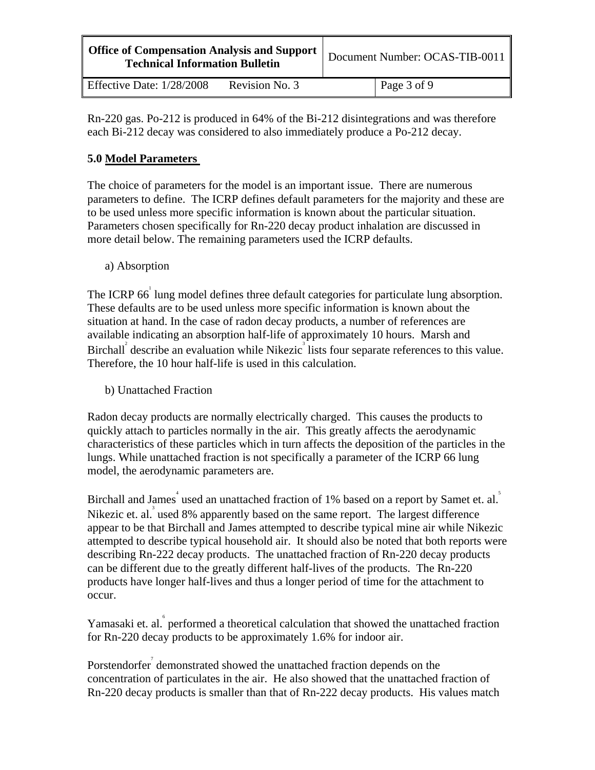| <b>Office of Compensation Analysis and Support</b><br><b>Technical Information Bulletin</b> |                | Document Number: OCAS-TIB-0011 |
|---------------------------------------------------------------------------------------------|----------------|--------------------------------|
| Effective Date: $1/28/2008$                                                                 | Revision No. 3 | Page 3 of 9                    |

Rn-220 gas. Po-212 is produced in 64% of the Bi-212 disintegrations and was therefore each Bi-212 decay was considered to also immediately produce a Po-212 decay.

# **5.0 Model Parameters**

The choice of parameters for the model is an important issue. There are numerous parameters to define. The ICRP defines default parameters for the majority and these are to be used unless more specific information is known about the particular situation. Parameters chosen specifically for Rn-220 decay product inhalation are discussed in more detail below. The remaining parameters used the ICRP defaults.

a) Absorption

The ICRP 66<sup>1</sup> lung model defines three default categories for particulate lung absorption. These defaults are to be used unless more specific information is known about the situation at hand. In the case of radon decay products, a number of references are available indicating an absorption half-life of approximately 10 hours. Marsh and Birchall describe an evaluation while Nikezic<sup>3</sup> lists four separate references to this value. Therefore, the 10 hour half-life is used in this calculation.

b) Unattached Fraction

Radon decay products are normally electrically charged. This causes the products to quickly attach to particles normally in the air. This greatly affects the aerodynamic characteristics of these particles which in turn affects the deposition of the particles in the lungs. While unattached fraction is not specifically a parameter of the ICRP 66 lung model, the aerodynamic parameters are.

Birchall and James<sup>4</sup> used an unattached fraction of 1% based on a report by Samet et. al.<sup>5</sup> Nikezic et. al. used 8% apparently based on the same report. The largest difference appear to be that Birchall and James attempted to describe typical mine air while Nikezic attempted to describe typical household air. It should also be noted that both reports were describing Rn-222 decay products. The unattached fraction of Rn-220 decay products can be different due to the greatly different half-lives of the products. The Rn-220 products have longer half-lives and thus a longer period of time for the attachment to occur.

Yamasaki et. al. performed a theoretical calculation that showed the unattached fraction for Rn-220 decay products to be approximately 1.6% for indoor air.

Porstendorfer<sup>7</sup> demonstrated showed the unattached fraction depends on the concentration of particulates in the air. He also showed that the unattached fraction of Rn-220 decay products is smaller than that of Rn-222 decay products. His values match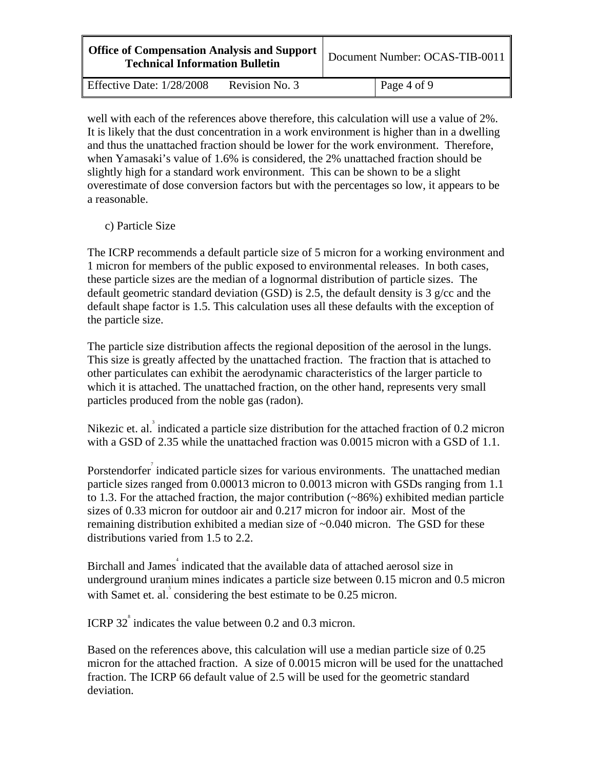| <b>Office of Compensation Analysis and Support</b><br><b>Technical Information Bulletin</b> |                | Document Number: OCAS-TIB-0011 |
|---------------------------------------------------------------------------------------------|----------------|--------------------------------|
| Effective Date: 1/28/2008                                                                   | Revision No. 3 | Page 4 of 9                    |

well with each of the references above therefore, this calculation will use a value of 2%. It is likely that the dust concentration in a work environment is higher than in a dwelling and thus the unattached fraction should be lower for the work environment. Therefore, when Yamasaki's value of 1.6% is considered, the 2% unattached fraction should be slightly high for a standard work environment. This can be shown to be a slight overestimate of dose conversion factors but with the percentages so low, it appears to be a reasonable.

#### c) Particle Size

The ICRP recommends a default particle size of 5 micron for a working environment and 1 micron for members of the public exposed to environmental releases. In both cases, these particle sizes are the median of a lognormal distribution of particle sizes. The default geometric standard deviation (GSD) is 2.5, the default density is 3  $g$ /cc and the default shape factor is 1.5. This calculation uses all these defaults with the exception of the particle size.

The particle size distribution affects the regional deposition of the aerosol in the lungs. This size is greatly affected by the unattached fraction. The fraction that is attached to other particulates can exhibit the aerodynamic characteristics of the larger particle to which it is attached. The unattached fraction, on the other hand, represents very small particles produced from the noble gas (radon).

Nikezic et. al.<sup>3</sup> indicated a particle size distribution for the attached fraction of 0.2 micron with a GSD of 2.35 while the unattached fraction was 0.0015 micron with a GSD of 1.1.

Porstendorfer indicated particle sizes for various environments. The unattached median particle sizes ranged from 0.00013 micron to 0.0013 micron with GSDs ranging from 1.1 to 1.3. For the attached fraction, the major contribution (~86%) exhibited median particle sizes of 0.33 micron for outdoor air and 0.217 micron for indoor air. Most of the remaining distribution exhibited a median size of ~0.040 micron. The GSD for these distributions varied from 1.5 to 2.2.

Birchall and James indicated that the available data of attached aerosol size in underground uranium mines indicates a particle size between 0.15 micron and 0.5 micron with Samet et. al.  $\delta$  considering the best estimate to be 0.25 micron.

ICRP  $32^{\degree}$  indicates the value between 0.2 and 0.3 micron.

Based on the references above, this calculation will use a median particle size of 0.25 micron for the attached fraction. A size of 0.0015 micron will be used for the unattached fraction. The ICRP 66 default value of 2.5 will be used for the geometric standard deviation.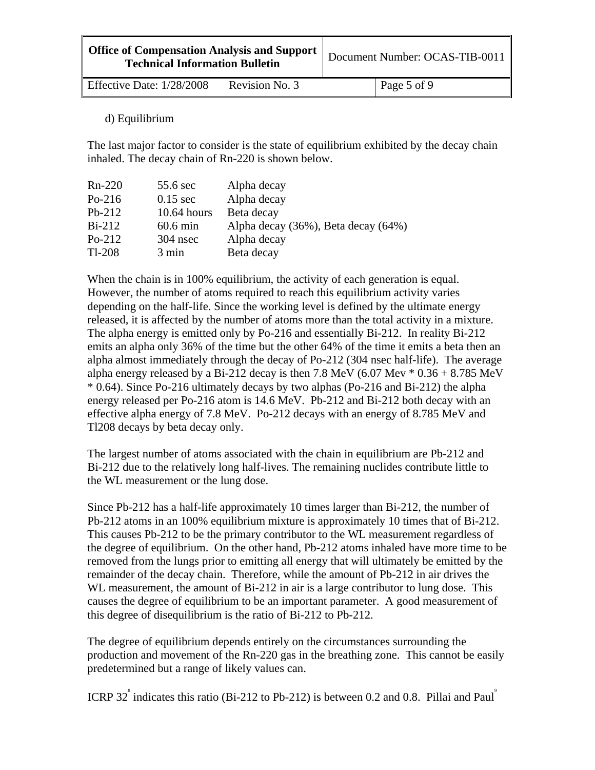| <b>Office of Compensation Analysis and Support</b>  <br><b>Technical Information Bulletin</b> | Document Number: OCAS-TIB-0011 |
|-----------------------------------------------------------------------------------------------|--------------------------------|
|                                                                                               |                                |

Effective Date:  $1/28/2008$  Revision No. 3 Page 5 of 9

d) Equilibrium

The last major factor to consider is the state of equilibrium exhibited by the decay chain inhaled. The decay chain of Rn-220 is shown below.

| Rn-220   | 55.6 sec        | Alpha decay                         |
|----------|-----------------|-------------------------------------|
| $Po-216$ | $0.15$ sec      | Alpha decay                         |
| $Pb-212$ | $10.64$ hours   | Beta decay                          |
| $Bi-212$ | $60.6$ min      | Alpha decay (36%), Beta decay (64%) |
| $Po-212$ | $304$ nsec      | Alpha decay                         |
| $Tl-208$ | $3 \text{ min}$ | Beta decay                          |

When the chain is in 100% equilibrium, the activity of each generation is equal. However, the number of atoms required to reach this equilibrium activity varies depending on the half-life. Since the working level is defined by the ultimate energy released, it is affected by the number of atoms more than the total activity in a mixture. The alpha energy is emitted only by Po-216 and essentially Bi-212. In reality Bi-212 emits an alpha only 36% of the time but the other 64% of the time it emits a beta then an alpha almost immediately through the decay of Po-212 (304 nsec half-life). The average alpha energy released by a Bi-212 decay is then 7.8 MeV (6.07 Mev  $*$  0.36 + 8.785 MeV \* 0.64). Since Po-216 ultimately decays by two alphas (Po-216 and Bi-212) the alpha energy released per Po-216 atom is 14.6 MeV. Pb-212 and Bi-212 both decay with an effective alpha energy of 7.8 MeV. Po-212 decays with an energy of 8.785 MeV and Tl208 decays by beta decay only.

The largest number of atoms associated with the chain in equilibrium are Pb-212 and Bi-212 due to the relatively long half-lives. The remaining nuclides contribute little to the WL measurement or the lung dose.

Since Pb-212 has a half-life approximately 10 times larger than Bi-212, the number of Pb-212 atoms in an 100% equilibrium mixture is approximately 10 times that of Bi-212. This causes Pb-212 to be the primary contributor to the WL measurement regardless of the degree of equilibrium. On the other hand, Pb-212 atoms inhaled have more time to be removed from the lungs prior to emitting all energy that will ultimately be emitted by the remainder of the decay chain. Therefore, while the amount of Pb-212 in air drives the WL measurement, the amount of Bi-212 in air is a large contributor to lung dose. This causes the degree of equilibrium to be an important parameter. A good measurement of this degree of disequilibrium is the ratio of Bi-212 to Pb-212.

The degree of equilibrium depends entirely on the circumstances surrounding the production and movement of the Rn-220 gas in the breathing zone. This cannot be easily predetermined but a range of likely values can.

ICRP 32<sup> $\degree$ </sup> indicates this ratio (Bi-212 to Pb-212) is between 0.2 and 0.8. Pillai and Paul<sup>9</sup>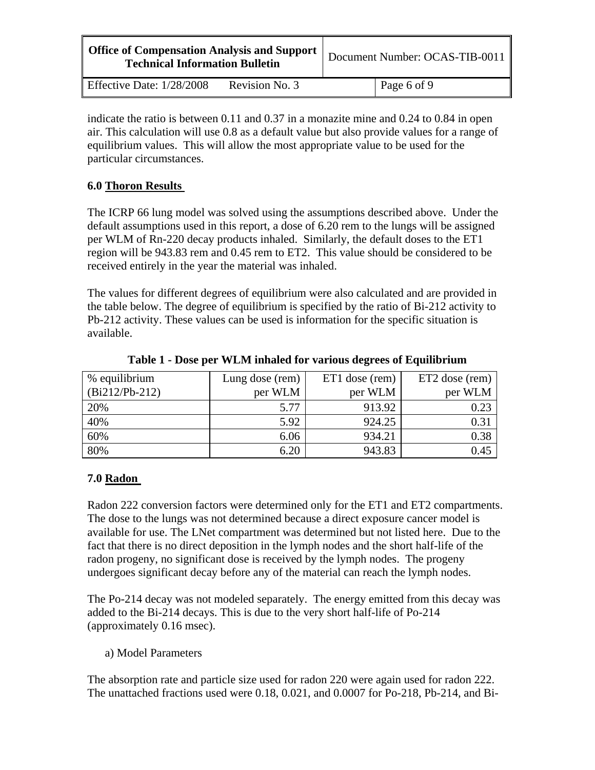| <b>Office of Compensation Analysis and Support</b><br><b>Technical Information Bulletin</b> |                | Document Number: OCAS-TIB-0011 |
|---------------------------------------------------------------------------------------------|----------------|--------------------------------|
| Effective Date: 1/28/2008                                                                   | Revision No. 3 | Page 6 of 9                    |

indicate the ratio is between 0.11 and 0.37 in a monazite mine and 0.24 to 0.84 in open air. This calculation will use 0.8 as a default value but also provide values for a range of equilibrium values. This will allow the most appropriate value to be used for the particular circumstances.

### **6.0 Thoron Results**

The ICRP 66 lung model was solved using the assumptions described above. Under the default assumptions used in this report, a dose of 6.20 rem to the lungs will be assigned per WLM of Rn-220 decay products inhaled. Similarly, the default doses to the ET1 region will be 943.83 rem and 0.45 rem to ET2. This value should be considered to be received entirely in the year the material was inhaled.

The values for different degrees of equilibrium were also calculated and are provided in the table below. The degree of equilibrium is specified by the ratio of Bi-212 activity to Pb-212 activity. These values can be used is information for the specific situation is available.

| % equilibrium    | Lung dose (rem) | ET1 dose (rem) | ET2 dose (rem) |
|------------------|-----------------|----------------|----------------|
| $(Bi212/Pb-212)$ | per WLM         | per WLM        | per WLM        |
| 20%              | 5.77            | 913.92         | 0.23           |
| 40%              | 5.92            | 924.25         | 0.31           |
| 60%              | 6.06            | 934.21         | 0.38           |
| 80%              | 6.20            | 943.83         | 0.45           |

**Table 1 - Dose per WLM inhaled for various degrees of Equilibrium** 

## **7.0 Radon**

Radon 222 conversion factors were determined only for the ET1 and ET2 compartments. The dose to the lungs was not determined because a direct exposure cancer model is available for use. The LNet compartment was determined but not listed here. Due to the fact that there is no direct deposition in the lymph nodes and the short half-life of the radon progeny, no significant dose is received by the lymph nodes. The progeny undergoes significant decay before any of the material can reach the lymph nodes.

The Po-214 decay was not modeled separately. The energy emitted from this decay was added to the Bi-214 decays. This is due to the very short half-life of Po-214 (approximately 0.16 msec).

a) Model Parameters

The absorption rate and particle size used for radon 220 were again used for radon 222. The unattached fractions used were 0.18, 0.021, and 0.0007 for Po-218, Pb-214, and Bi-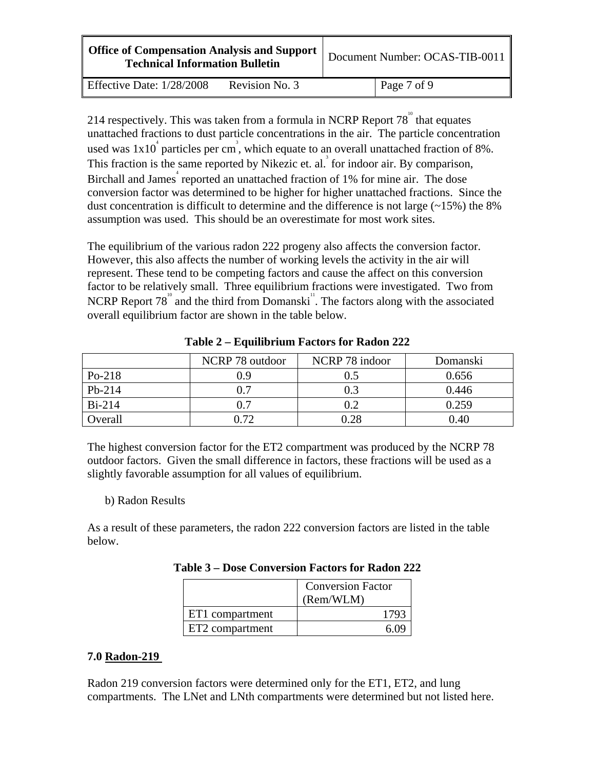| <b>Office of Compensation Analysis and Support</b><br><b>Technical Information Bulletin</b> | Document Number: OCAS-TIB-0011 |
|---------------------------------------------------------------------------------------------|--------------------------------|
|                                                                                             |                                |

Effective Date:  $1/28/2008$  Revision No. 3 Page 7 of 9

214 respectively. This was taken from a formula in NCRP Report  $78^{\degree}$  that equates unattached fractions to dust particle concentrations in the air. The particle concentration used was  $1x10^4$  particles per cm<sup>3</sup>, which equate to an overall unattached fraction of 8%. This fraction is the same reported by Nikezic et. al.<sup>3</sup> for indoor air. By comparison, Birchall and James<sup>4</sup> reported an unattached fraction of 1% for mine air. The dose conversion factor was determined to be higher for higher unattached fractions. Since the dust concentration is difficult to determine and the difference is not large  $(\sim 15\%)$  the 8% assumption was used. This should be an overestimate for most work sites.

The equilibrium of the various radon 222 progeny also affects the conversion factor. However, this also affects the number of working levels the activity in the air will represent. These tend to be competing factors and cause the affect on this conversion factor to be relatively small. Three equilibrium fractions were investigated. Two from NCRP Report  $78^{\degree}$  and the third from Domanski<sup>"</sup>. The factors along with the associated overall equilibrium factor are shown in the table below.

|          | NCRP 78 outdoor | NCRP 78 indoor | Domanski |
|----------|-----------------|----------------|----------|
| $Po-218$ | 0.9             | 0.5            | 0.656    |
| $Pb-214$ | $\rm 0.7$       | 0.3            | 0.446    |
| $Bi-214$ | 0.7             | 0.2            | 0.259    |
| Overall  | 0.72            | 0.28           | 0.40     |

**Table 2 – Equilibrium Factors for Radon 222** 

The highest conversion factor for the ET2 compartment was produced by the NCRP 78 outdoor factors. Given the small difference in factors, these fractions will be used as a slightly favorable assumption for all values of equilibrium.

## b) Radon Results

As a result of these parameters, the radon 222 conversion factors are listed in the table below.

| Table 3 – Dose Conversion Factors for Radon 222 |  |  |
|-------------------------------------------------|--|--|
|-------------------------------------------------|--|--|

|                 | <b>Conversion Factor</b><br>(Rem/WLM) |  |
|-----------------|---------------------------------------|--|
| ET1 compartment | 17Q′                                  |  |
| ET2 compartment | 6 N                                   |  |

## **7.0 Radon-219**

Radon 219 conversion factors were determined only for the ET1, ET2, and lung compartments. The LNet and LNth compartments were determined but not listed here.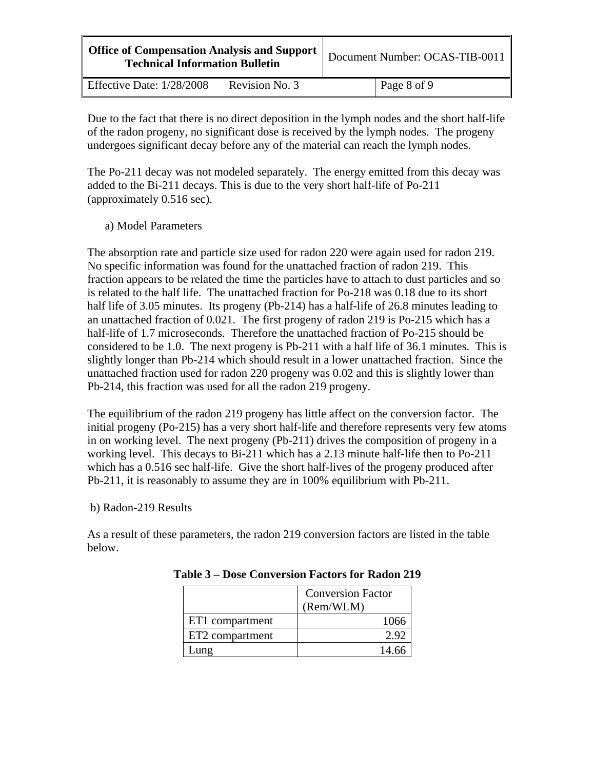| <b>Office of Compensation Analysis and Support</b><br><b>Technical Information Bulletin</b> |                | Document Number: OCAS-TIB-0011 |             |
|---------------------------------------------------------------------------------------------|----------------|--------------------------------|-------------|
| Effective Date: 1/28/2008                                                                   | Revision No. 3 |                                | Page 8 of 9 |

Due to the fact that there is no direct deposition in the lymph nodes and the short half-life of the radon progeny, no significant dose is received by the lymph nodes. The progeny undergoes significant decay before any of the material can reach the lymph nodes.

The Po-211 decay was not modeled separately. The energy emitted from this decay was added to the Bi-211 decays. This is due to the very short half-life of Po-211 (approximately 0.516 sec).

## a) Model Parameters

The absorption rate and particle size used for radon 220 were again used for radon 219. No specific information was found for the unattached fraction of radon 219. This fraction appears to be related the time the particles have to attach to dust particles and so is related to the half life. The unattached fraction for Po-218 was 0.18 due to its short half life of 3.05 minutes. Its progeny (Pb-214) has a half-life of 26.8 minutes leading to an unattached fraction of 0.021. The first progeny of radon 219 is Po-215 which has a half-life of 1.7 microseconds. Therefore the unattached fraction of Po-215 should be considered to be 1.0. The next progeny is Pb-211 with a half life of 36.1 minutes. This is slightly longer than Pb-214 which should result in a lower unattached fraction. Since the unattached fraction used for radon 220 progeny was 0.02 and this is slightly lower than Pb-214, this fraction was used for all the radon 219 progeny.

The equilibrium of the radon 219 progeny has little affect on the conversion factor. The initial progeny (Po-215) has a very short half-life and therefore represents very few atoms in on working level. The next progeny (Pb-211) drives the composition of progeny in a working level. This decays to Bi-211 which has a 2.13 minute half-life then to Po-211 which has a 0.516 sec half-life. Give the short half-lives of the progeny produced after Pb-211, it is reasonably to assume they are in 100% equilibrium with Pb-211.

b) Radon-219 Results

As a result of these parameters, the radon 219 conversion factors are listed in the table below.

|                 | <b>Conversion Factor</b><br>(Rem/WLM) |  |
|-----------------|---------------------------------------|--|
| ET1 compartment | 1066                                  |  |
| ET2 compartment | 2.90                                  |  |
| <b>ung</b>      | 14 6                                  |  |

**Table 3 – Dose Conversion Factors for Radon 219**